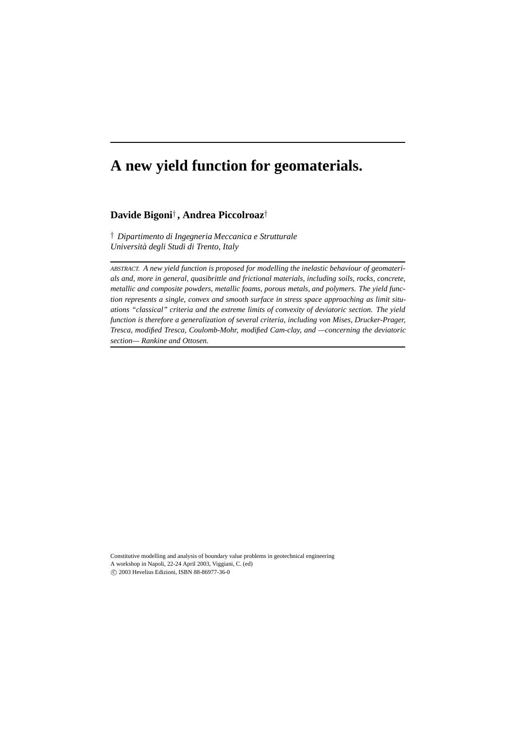# **A new yield function for geomaterials.**

# **Davide Bigoni**† **, Andrea Piccolroaz**†

† *Dipartimento di Ingegneria Meccanica e Strutturale Università degli Studi di Trento, Italy*

*ABSTRACT. A new yield function is proposed for modelling the inelastic behaviour of geomaterials and, more in general, quasibrittle and frictional materials, including soils, rocks, concrete, metallic and composite powders, metallic foams, porous metals, and polymers. The yield function represents a single, convex and smooth surface in stress space approaching as limit situations "classical" criteria and the extreme limits of convexity of deviatoric section. The yield function is therefore a generalization of several criteria, including von Mises, Drucker-Prager, Tresca, modified Tresca, Coulomb-Mohr, modified Cam-clay, and —concerning the deviatoric section— Rankine and Ottosen.*

Constitutive modelling and analysis of boundary value problems in geotechnical engineering A workshop in Napoli, 22-24 April 2003, Viggiani, C. (ed) c 2003 Hevelius Edizioni, ISBN 88-86977-36-0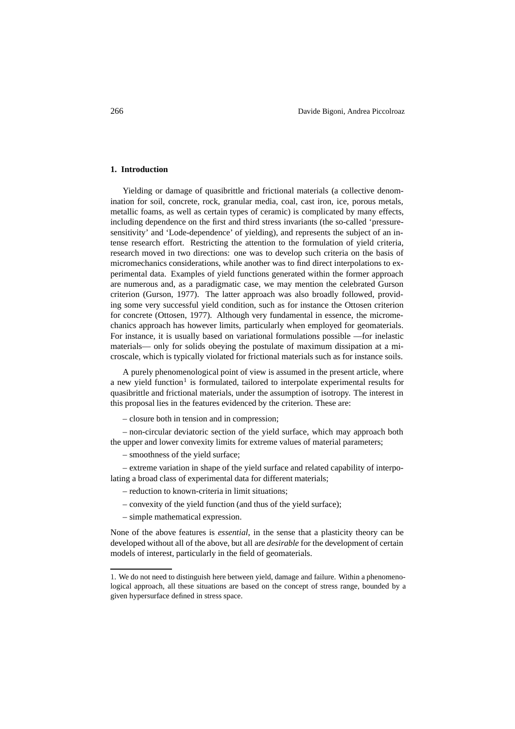#### **1. Introduction**

Yielding or damage of quasibrittle and frictional materials (a collective denomination for soil, concrete, rock, granular media, coal, cast iron, ice, porous metals, metallic foams, as well as certain types of ceramic) is complicated by many effects, including dependence on the first and third stress invariants (the so-called 'pressuresensitivity' and 'Lode-dependence' of yielding), and represents the subject of an intense research effort. Restricting the attention to the formulation of yield criteria, research moved in two directions: one was to develop such criteria on the basis of micromechanics considerations, while another was to find direct interpolations to experimental data. Examples of yield functions generated within the former approach are numerous and, as a paradigmatic case, we may mention the celebrated Gurson criterion (Gurson, 1977). The latter approach was also broadly followed, providing some very successful yield condition, such as for instance the Ottosen criterion for concrete (Ottosen, 1977). Although very fundamental in essence, the micromechanics approach has however limits, particularly when employed for geomaterials. For instance, it is usually based on variational formulations possible —for inelastic materials— only for solids obeying the postulate of maximum dissipation at a microscale, which is typically violated for frictional materials such as for instance soils.

A purely phenomenological point of view is assumed in the present article, where a new yield function<sup>1</sup> is formulated, tailored to interpolate experimental results for quasibrittle and frictional materials, under the assumption of isotropy. The interest in this proposal lies in the features evidenced by the criterion. These are:

– closure both in tension and in compression;

– non-circular deviatoric section of the yield surface, which may approach both the upper and lower convexity limits for extreme values of material parameters;

– smoothness of the yield surface;

– extreme variation in shape of the yield surface and related capability of interpolating a broad class of experimental data for different materials;

- reduction to known-criteria in limit situations;
- convexity of the yield function (and thus of the yield surface);
- simple mathematical expression.

None of the above features is *essential*, in the sense that a plasticity theory can be developed without all of the above, but all are *desirable* for the development of certain models of interest, particularly in the field of geomaterials.

<sup>1</sup>. We do not need to distinguish here between yield, damage and failure. Within a phenomenological approach, all these situations are based on the concept of stress range, bounded by a given hypersurface defined in stress space.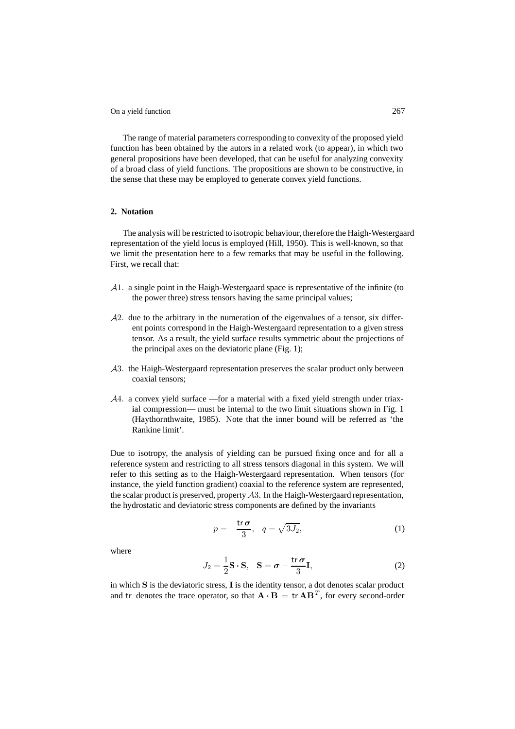The range of material parameters corresponding to convexity of the proposed yield function has been obtained by the autors in a related work (to appear), in which two general propositions have been developed, that can be useful for analyzing convexity of a broad class of yield functions. The propositions are shown to be constructive, in the sense that these may be employed to generate convex yield functions.

### **2. Notation**

The analysis will be restricted to isotropic behaviour, therefore the Haigh-Westergaard representation of the yield locus is employed (Hill, 1950). This is well-known, so that we limit the presentation here to a few remarks that may be useful in the following. First, we recall that:

- <sup>A</sup>1. a single point in the Haigh-Westergaard space is representative of the infinite (to the power three) stress tensors having the same principal values;
- $\mathcal{A}2$ . due to the arbitrary in the numeration of the eigenvalues of a tensor, six different points correspond in the Haigh-Westergaard representation to a given stress tensor. As a result, the yield surface results symmetric about the projections of the principal axes on the deviatoric plane (Fig. 1);
- <sup>A</sup>3. the Haigh-Westergaard representation preserves the scalar product only between coaxial tensors;
- <sup>A</sup>4. a convex yield surface —for a material with a fixed yield strength under triaxial compression— must be internal to the two limit situations shown in Fig. 1 (Haythornthwaite, 1985). Note that the inner bound will be referred as 'the Rankine limit'.

Due to isotropy, the analysis of yielding can be pursued fixing once and for all a reference system and restricting to all stress tensors diagonal in this system. We will refer to this setting as to the Haigh-Westergaard representation. When tensors (for instance, the yield function gradient) coaxial to the reference system are represented, the scalar product is preserved, property  $A3$ . In the Haigh-Westergaard representation, the hydrostatic and deviatoric stress components are defined by the invariants

$$
p = -\frac{\text{tr}\,\sigma}{3}, \quad q = \sqrt{3J_2},\tag{1}
$$

where

$$
J_2 = \frac{1}{2}\mathbf{S} \cdot \mathbf{S}, \quad \mathbf{S} = \boldsymbol{\sigma} - \frac{\mathrm{tr}\,\boldsymbol{\sigma}}{3}\mathbf{I},\tag{2}
$$

in which **S** is the deviatoric stress, **I** is the identity tensor, a dot denotes scalar product and tr denotes the trace operator, so that  $\mathbf{A} \cdot \mathbf{B} = \text{tr} \mathbf{A} \mathbf{B}^T$ , for every second-order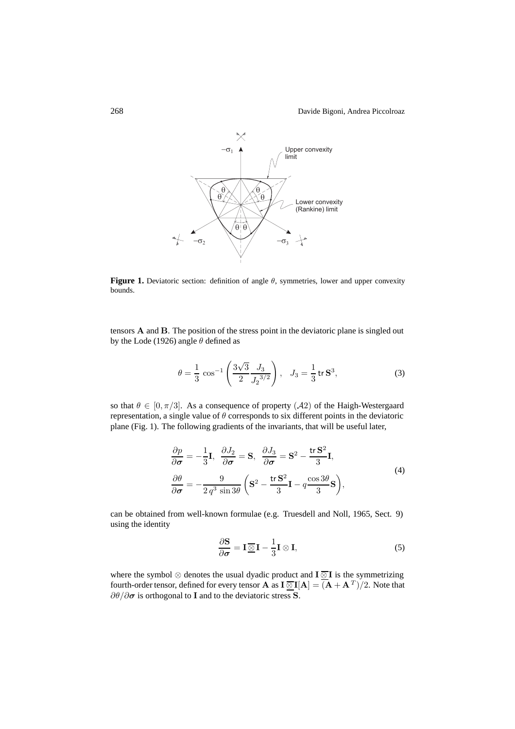

**Figure 1.** Deviatoric section: definition of angle  $\theta$ , symmetries, lower and upper convexity bounds.

tensors **A** and **B**. The position of the stress point in the deviatoric plane is singled out by the Lode (1926) angle  $\theta$  defined as

$$
\theta = \frac{1}{3} \cos^{-1} \left( \frac{3\sqrt{3}}{2} \frac{J_3}{J_2^{3/2}} \right), \quad J_3 = \frac{1}{3} \text{tr } \mathbf{S}^3,
$$
 (3)

so that  $\theta \in [0, \pi/3]$ . As a consequence of property  $(\mathcal{A}2)$  of the Haigh-Westergaard representation, a single value of  $\theta$  corresponds to six different points in the deviatoric plane (Fig. 1). The following gradients of the invariants, that will be useful later,

$$
\frac{\partial p}{\partial \sigma} = -\frac{1}{3} \mathbf{I}, \quad \frac{\partial J_2}{\partial \sigma} = \mathbf{S}, \quad \frac{\partial J_3}{\partial \sigma} = \mathbf{S}^2 - \frac{\mathbf{tr} \mathbf{S}^2}{3} \mathbf{I},
$$
  

$$
\frac{\partial \theta}{\partial \sigma} = -\frac{9}{2 q^3 \sin 3\theta} \left( \mathbf{S}^2 - \frac{\mathbf{tr} \mathbf{S}^2}{3} \mathbf{I} - q \frac{\cos 3\theta}{3} \mathbf{S} \right),
$$
(4)

can be obtained from well-known formulae (e.g. Truesdell and Noll, 1965, Sect. 9) using the identity

$$
\frac{\partial \mathbf{S}}{\partial \sigma} = \mathbf{I} \underline{\overline{\otimes}} \mathbf{I} - \frac{1}{3} \mathbf{I} \otimes \mathbf{I},\tag{5}
$$

where the symbol ⊗ denotes the usual dyadic product and **I** ⊗ **I** is the symmetrizing fourth-order tensor, defined for every tensor **A** as  $\mathbf{I} \_\subseteq \mathbf{I}[\mathbf{A}] = (\mathbf{A} + \mathbf{A}^T)/2$ . Note that ∂θ/∂*<sup>σ</sup>* is orthogonal to **<sup>I</sup>** and to the deviatoric stress **<sup>S</sup>**.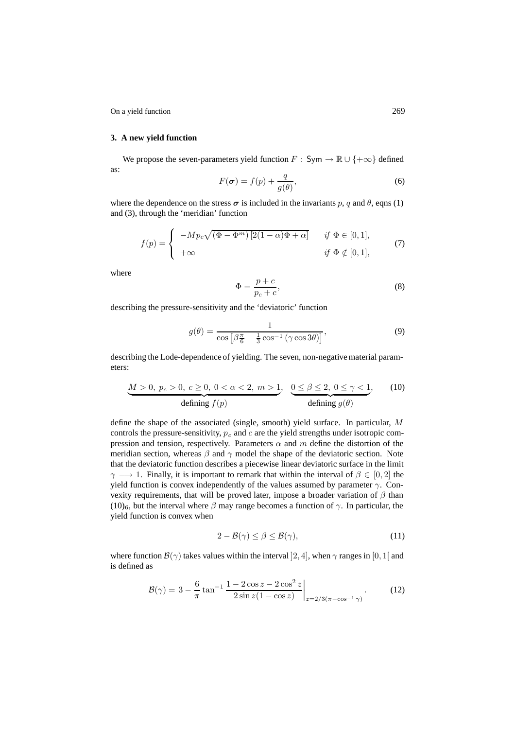#### **3. A new yield function**

We propose the seven-parameters yield function  $F : Sym \to \mathbb{R} \cup \{+\infty\}$  defined as:

$$
F(\boldsymbol{\sigma}) = f(p) + \frac{q}{g(\theta)},
$$
\n(6)

where the dependence on the stress  $\sigma$  is included in the invariants p, q and  $\theta$ , eqns (1) and (3), through the 'meridian' function

$$
f(p) = \begin{cases} -Mp_c \sqrt{(\Phi - \Phi^m) [2(1 - \alpha)\Phi + \alpha]} & \text{if } \Phi \in [0, 1], \\ +\infty & \text{if } \Phi \notin [0, 1], \end{cases}
$$
(7)

where

$$
\Phi = \frac{p+c}{p_c+c},\tag{8}
$$

describing the pressure-sensitivity and the 'deviatoric' function

$$
g(\theta) = \frac{1}{\cos\left[\beta \frac{\pi}{6} - \frac{1}{3}\cos^{-1}\left(\gamma \cos 3\theta\right)\right]},\tag{9}
$$

describing the Lode-dependence of yielding. The seven, non-negative material parameters:

$$
\underbrace{M>0, p_c>0, c \ge 0, 0 < \alpha < 2, m > 1}_{\text{defining } f(p)}, \underbrace{0 \le \beta \le 2, 0 \le \gamma < 1}_{\text{defining } g(\theta)},
$$
 (10)

define the shape of the associated (single, smooth) yield surface. In particular, M controls the pressure-sensitivity,  $p_c$  and  $c$  are the yield strengths under isotropic compression and tension, respectively. Parameters  $\alpha$  and  $m$  define the distortion of the meridian section, whereas  $\beta$  and  $\gamma$  model the shape of the deviatoric section. Note that the deviatoric function describes a piecewise linear deviatoric surface in the limit  $\gamma \longrightarrow 1$ . Finally, it is important to remark that within the interval of  $\beta \in [0, 2]$  the yield function is convex independently of the values assumed by parameter  $\gamma$ . Convexity requirements, that will be proved later, impose a broader variation of  $\beta$  than (10)<sub>6</sub>, but the interval where  $\beta$  may range becomes a function of  $\gamma$ . In particular, the yield function is convex when

$$
2 - \mathcal{B}(\gamma) \le \beta \le \mathcal{B}(\gamma),\tag{11}
$$

where function  $\mathcal{B}(\gamma)$  takes values within the interval [2, 4], when  $\gamma$  ranges in [0, 1] and is defined as

$$
\mathcal{B}(\gamma) = 3 - \frac{6}{\pi} \tan^{-1} \frac{1 - 2\cos z - 2\cos^2 z}{2\sin z (1 - \cos z)} \bigg|_{z = 2/3(\pi - \cos^{-1} \gamma)}.
$$
 (12)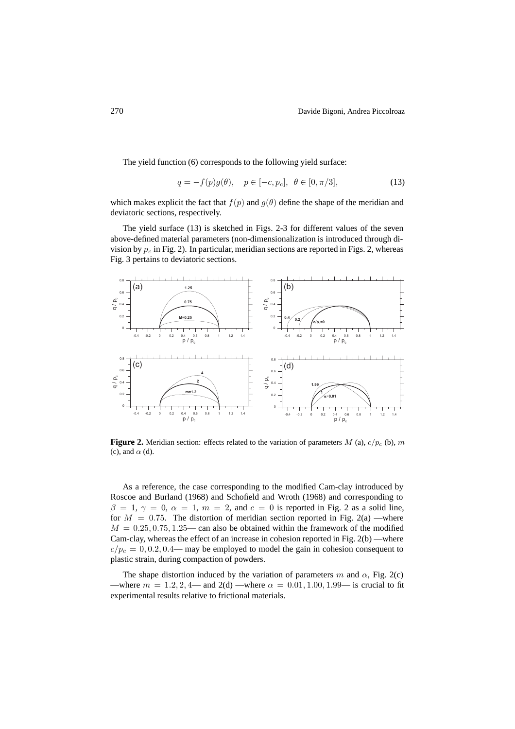The yield function (6) corresponds to the following yield surface:

$$
q = -f(p)g(\theta), \quad p \in [-c, p_c], \ \theta \in [0, \pi/3], \tag{13}
$$

which makes explicit the fact that  $f(p)$  and  $g(\theta)$  define the shape of the meridian and deviatoric sections, respectively.

The yield surface (13) is sketched in Figs. 2-3 for different values of the seven above-defined material parameters (non-dimensionalization is introduced through division by  $p_c$  in Fig. 2). In particular, meridian sections are reported in Figs. 2, whereas Fig. 3 pertains to deviatoric sections.



**Figure 2.** Meridian section: effects related to the variation of parameters  $M$  (a),  $c/p_c$  (b),  $m$ (c), and  $\alpha$  (d).

As a reference, the case corresponding to the modified Cam-clay introduced by Roscoe and Burland (1968) and Schofield and Wroth (1968) and corresponding to  $\beta = 1, \gamma = 0, \alpha = 1, m = 2,$  and  $c = 0$  is reported in Fig. 2 as a solid line, for  $M = 0.75$ . The distortion of meridian section reported in Fig. 2(a) —where  $M = 0.25, 0.75, 1.25$ — can also be obtained within the framework of the modified Cam-clay, whereas the effect of an increase in cohesion reported in Fig. 2(b) —where  $c/p_c = 0, 0.2, 0.4$ — may be employed to model the gain in cohesion consequent to plastic strain, during compaction of powders.

The shape distortion induced by the variation of parameters m and  $\alpha$ , Fig. 2(c) —where  $m = 1.2, 2, 4$ — and  $2(d)$  —where  $\alpha = 0.01, 1.00, 1.99$ — is crucial to fit experimental results relative to frictional materials.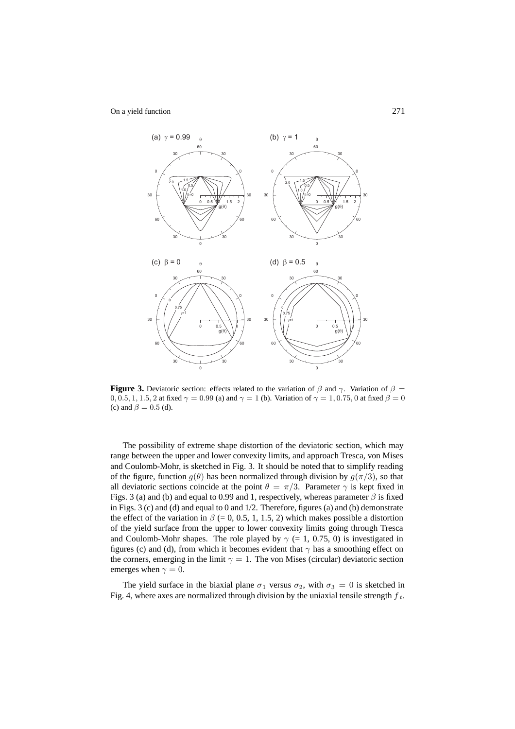

**Figure 3.** Deviatoric section: effects related to the variation of  $\beta$  and  $\gamma$ . Variation of  $\beta$ 0, 0.5, 1, 1.5, 2 at fixed  $\gamma = 0.99$  (a) and  $\gamma = 1$  (b). Variation of  $\gamma = 1, 0.75, 0$  at fixed  $\beta = 0$ (c) and  $\beta = 0.5$  (d).

The possibility of extreme shape distortion of the deviatoric section, which may range between the upper and lower convexity limits, and approach Tresca, von Mises and Coulomb-Mohr, is sketched in Fig. 3. It should be noted that to simplify reading of the figure, function  $q(\theta)$  has been normalized through division by  $q(\pi/3)$ , so that all deviatoric sections coincide at the point  $\theta = \pi/3$ . Parameter  $\gamma$  is kept fixed in Figs. 3 (a) and (b) and equal to 0.99 and 1, respectively, whereas parameter  $\beta$  is fixed in Figs. 3 (c) and (d) and equal to 0 and  $1/2$ . Therefore, figures (a) and (b) demonstrate the effect of the variation in  $\beta$  (= 0, 0.5, 1, 1.5, 2) which makes possible a distortion of the yield surface from the upper to lower convexity limits going through Tresca and Coulomb-Mohr shapes. The role played by  $\gamma$  (= 1, 0.75, 0) is investigated in figures (c) and (d), from which it becomes evident that  $\gamma$  has a smoothing effect on the corners, emerging in the limit  $\gamma = 1$ . The von Mises (circular) deviatoric section emerges when  $\gamma = 0$ .

The yield surface in the biaxial plane  $\sigma_1$  versus  $\sigma_2$ , with  $\sigma_3 = 0$  is sketched in Fig. 4, where axes are normalized through division by the uniaxial tensile strength  $f_t$ .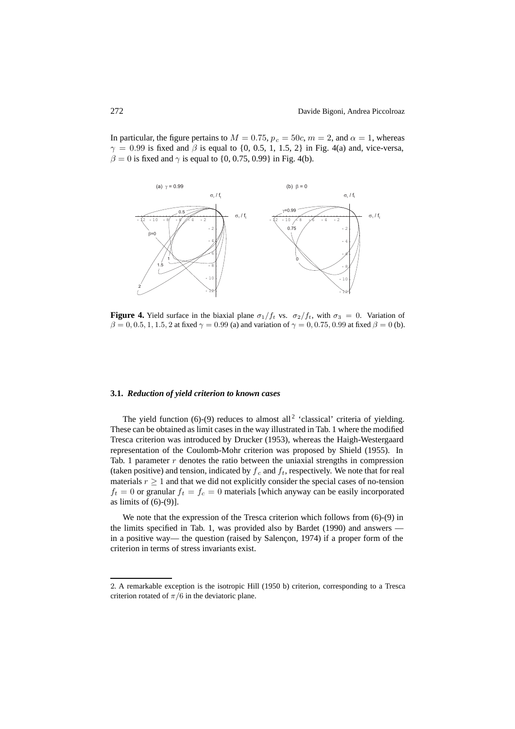In particular, the figure pertains to  $M = 0.75$ ,  $p_c = 50c$ ,  $m = 2$ , and  $\alpha = 1$ , whereas  $\gamma = 0.99$  is fixed and  $\beta$  is equal to {0, 0.5, 1, 1.5, 2} in Fig. 4(a) and, vice-versa,  $\beta = 0$  is fixed and  $\gamma$  is equal to {0, 0.75, 0.99} in Fig. 4(b).



**Figure 4.** Yield surface in the biaxial plane  $\sigma_1/f_t$  vs.  $\sigma_2/f_t$ , with  $\sigma_3 = 0$ . Variation of  $\beta = 0, 0.5, 1, 1.5, 2$  at fixed  $\gamma = 0.99$  (a) and variation of  $\gamma = 0, 0.75, 0.99$  at fixed  $\beta = 0$  (b).

# **3.1.** *Reduction of yield criterion to known cases*

The yield function  $(6)-(9)$  reduces to almost all<sup>2</sup> 'classical' criteria of yielding. These can be obtained as limit cases in the way illustrated in Tab. 1 where the modified Tresca criterion was introduced by Drucker (1953), whereas the Haigh-Westergaard representation of the Coulomb-Mohr criterion was proposed by Shield (1955). In Tab. 1 parameter  $r$  denotes the ratio between the uniaxial strengths in compression (taken positive) and tension, indicated by  $f_c$  and  $f_t$ , respectively. We note that for real materials  $r \geq 1$  and that we did not explicitly consider the special cases of no-tension  $f_t = 0$  or granular  $f_t = f_c = 0$  materials [which anyway can be easily incorporated as limits of  $(6)-(9)$ ].

We note that the expression of the Tresca criterion which follows from (6)-(9) in the limits specified in Tab. 1, was provided also by Bardet (1990) and answers in a positive way— the question (raised by Salençon, 1974) if a proper form of the criterion in terms of stress invariants exist.

<sup>2</sup>. A remarkable exception is the isotropic Hill (1950 b) criterion, corresponding to a Tresca criterion rotated of  $\pi/6$  in the deviatoric plane.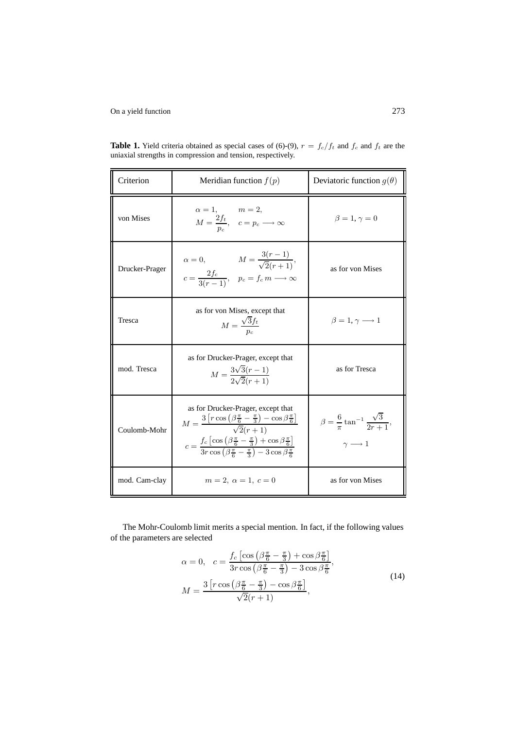| Criterion      | Meridian function $f(p)$                                                                                                                                                                                                                                                                                                                                               | Deviatoric function $g(\theta)$                                                        |  |
|----------------|------------------------------------------------------------------------------------------------------------------------------------------------------------------------------------------------------------------------------------------------------------------------------------------------------------------------------------------------------------------------|----------------------------------------------------------------------------------------|--|
| von Mises      | $\alpha = 1,$ $m = 2,$<br>$M = \frac{2f_t}{n},$ $c = p_c \longrightarrow \infty$                                                                                                                                                                                                                                                                                       | $\beta = 1, \gamma = 0$                                                                |  |
| Drucker-Prager | $\alpha = 0,$ $M = \frac{3(r-1)}{\sqrt{2}(r+1)},$<br>$c = \frac{2f_c}{3(r-1)}, \quad p_c = f_c \, m \longrightarrow \infty$                                                                                                                                                                                                                                            | as for von Mises                                                                       |  |
| Tresca         | as for von Mises, except that<br>$M = \frac{\sqrt{3}f_t}{\sqrt{3}}$                                                                                                                                                                                                                                                                                                    | $\beta = 1, \gamma \longrightarrow 1$                                                  |  |
| mod. Tresca    | as for Drucker-Prager, except that<br>$M = \frac{3\sqrt{3}(r-1)}{2\sqrt{2}(r+1)}$                                                                                                                                                                                                                                                                                      | as for Tresca                                                                          |  |
| Coulomb-Mohr   | as for Drucker-Prager, except that<br>$M = \frac{3\left[r\cos\left(\beta\frac{\pi}{6} - \frac{\pi}{3}\right) - \cos\beta\frac{\pi}{6}\right]}{\sqrt{2}(r+1)}$<br>$c = \frac{f_c \left[\cos \left(\beta \frac{\pi}{6} - \frac{\pi}{3}\right) + \cos \beta \frac{\pi}{6}\right]}{3r \cos \left(\beta \frac{\pi}{6} - \frac{\pi}{3}\right) - 3 \cos \beta \frac{\pi}{6}}$ | $\beta = \frac{6}{\pi} \tan^{-1} \frac{\sqrt{3}}{2r+1},$<br>$\gamma \longrightarrow 1$ |  |
| mod. Cam-clay  | $m = 2, \alpha = 1, c = 0$                                                                                                                                                                                                                                                                                                                                             | as for von Mises                                                                       |  |

**Table 1.** Yield criteria obtained as special cases of (6)-(9),  $r = f_c/f_t$  and  $f_c$  and  $f_t$  are the uniaxial strengths in compression and tension, respectively.

The Mohr-Coulomb limit merits a special mention. In fact, if the following values of the parameters are selected

$$
\alpha = 0, \quad c = \frac{f_c \left[ \cos \left( \beta \frac{\pi}{6} - \frac{\pi}{3} \right) + \cos \beta \frac{\pi}{6} \right]}{3r \cos \left( \beta \frac{\pi}{6} - \frac{\pi}{3} \right) - 3 \cos \beta \frac{\pi}{6}},
$$
  

$$
M = \frac{3 \left[ r \cos \left( \beta \frac{\pi}{6} - \frac{\pi}{3} \right) - \cos \beta \frac{\pi}{6} \right]}{\sqrt{2} (r+1)},
$$
(14)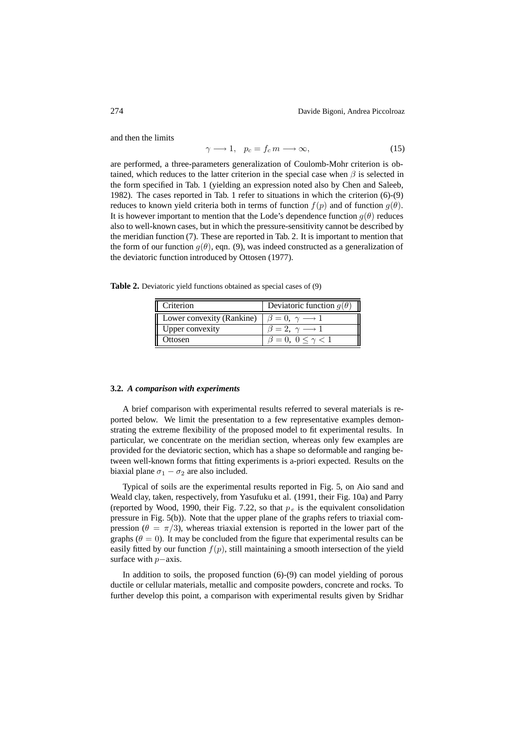and then the limits

$$
\gamma \longrightarrow 1, \quad p_c = f_c \, m \longrightarrow \infty,\tag{15}
$$

are performed, a three-parameters generalization of Coulomb-Mohr criterion is obtained, which reduces to the latter criterion in the special case when  $\beta$  is selected in the form specified in Tab. 1 (yielding an expression noted also by Chen and Saleeb, 1982). The cases reported in Tab. 1 refer to situations in which the criterion (6)-(9) reduces to known yield criteria both in terms of function  $f(p)$  and of function  $g(\theta)$ . It is however important to mention that the Lode's dependence function  $q(\theta)$  reduces also to well-known cases, but in which the pressure-sensitivity cannot be described by the meridian function (7). These are reported in Tab. 2. It is important to mention that the form of our function  $g(\theta)$ , eqn. (9), was indeed constructed as a generalization of the deviatoric function introduced by Ottosen (1977).

**Table 2.** Deviatoric yield functions obtained as special cases of (9)

| Deviatoric function $q(\theta)$       |
|---------------------------------------|
| $\beta = 0, \gamma \longrightarrow 1$ |
| $\beta = 2, \gamma \longrightarrow 1$ |
| $\beta = 0, 0 \leq \gamma < 1$        |
|                                       |

#### **3.2.** *A comparison with experiments*

A brief comparison with experimental results referred to several materials is reported below. We limit the presentation to a few representative examples demonstrating the extreme flexibility of the proposed model to fit experimental results. In particular, we concentrate on the meridian section, whereas only few examples are provided for the deviatoric section, which has a shape so deformable and ranging between well-known forms that fitting experiments is a-priori expected. Results on the biaxial plane  $\sigma_1 - \sigma_2$  are also included.

Typical of soils are the experimental results reported in Fig. 5, on Aio sand and Weald clay, taken, respectively, from Yasufuku et al. (1991, their Fig. 10a) and Parry (reported by Wood, 1990, their Fig. 7.22, so that  $p_e$  is the equivalent consolidation pressure in Fig. 5(b)). Note that the upper plane of the graphs refers to triaxial compression ( $\theta = \pi/3$ ), whereas triaxial extension is reported in the lower part of the graphs ( $\theta = 0$ ). It may be concluded from the figure that experimental results can be easily fitted by our function  $f(p)$ , still maintaining a smooth intersection of the yield surface with p−axis.

In addition to soils, the proposed function  $(6)-(9)$  can model yielding of porous ductile or cellular materials, metallic and composite powders, concrete and rocks. To further develop this point, a comparison with experimental results given by Sridhar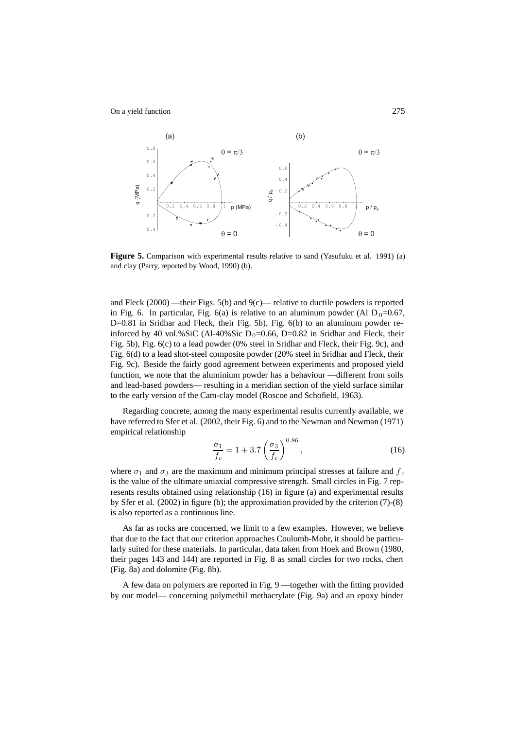

**Figure 5.** Comparison with experimental results relative to sand (Yasufuku et al. 1991) (a) and clay (Parry, reported by Wood, 1990) (b).

and Fleck (2000) —their Figs. 5(b) and 9(c)— relative to ductile powders is reported in Fig. 6. In particular, Fig. 6(a) is relative to an aluminum powder (Al  $D_0=0.67$ , D=0.81 in Sridhar and Fleck, their Fig. 5b), Fig. 6(b) to an aluminum powder reinforced by 40 vol.%SiC (Al-40%Sic  $D_0=0.66$ , D=0.82 in Sridhar and Fleck, their Fig. 5b), Fig. 6(c) to a lead powder (0% steel in Sridhar and Fleck, their Fig. 9c), and Fig. 6(d) to a lead shot-steel composite powder (20% steel in Sridhar and Fleck, their Fig. 9c). Beside the fairly good agreement between experiments and proposed yield function, we note that the aluminium powder has a behaviour —different from soils and lead-based powders— resulting in a meridian section of the yield surface similar to the early version of the Cam-clay model (Roscoe and Schofield, 1963).

Regarding concrete, among the many experimental results currently available, we have referred to Sfer et al. (2002, their Fig. 6) and to the Newman and Newman (1971) empirical relationship

$$
\frac{\sigma_1}{f_c} = 1 + 3.7 \left(\frac{\sigma_3}{f_c}\right)^{0.86},\tag{16}
$$

where  $\sigma_1$  and  $\sigma_3$  are the maximum and minimum principal stresses at failure and  $f_c$ is the value of the ultimate uniaxial compressive strength. Small circles in Fig. 7 represents results obtained using relationship (16) in figure (a) and experimental results by Sfer et al. (2002) in figure (b); the approximation provided by the criterion (7)-(8) is also reported as a continuous line.

As far as rocks are concerned, we limit to a few examples. However, we believe that due to the fact that our criterion approaches Coulomb-Mohr, it should be particularly suited for these materials. In particular, data taken from Hoek and Brown (1980, their pages 143 and 144) are reported in Fig. 8 as small circles for two rocks, chert (Fig. 8a) and dolomite (Fig. 8b).

A few data on polymers are reported in Fig. 9 —together with the fitting provided by our model— concerning polymethil methacrylate (Fig. 9a) and an epoxy binder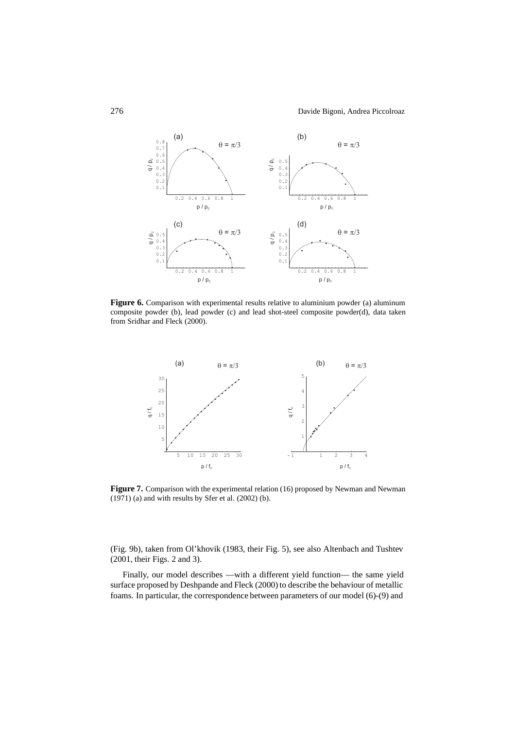

**Figure 6.** Comparison with experimental results relative to aluminium powder (a) aluminum composite powder (b), lead powder (c) and lead shot-steel composite powder(d), data taken from Sridhar and Fleck (2000).



Figure 7. Comparison with the experimental relation (16) proposed by Newman and Newman  $(1971)$  (a) and with results by Sfer et al.  $(2002)$  (b).

(Fig. 9b), taken from Ol'khovik (1983, their Fig. 5), see also Altenbach and Tushtev (2001, their Figs. 2 and 3).

Finally, our model describes —with a different yield function— the same yield surface proposed by Deshpande and Fleck (2000) to describe the behaviour of metallic foams. In particular, the correspondence between parameters of our model (6)-(9) and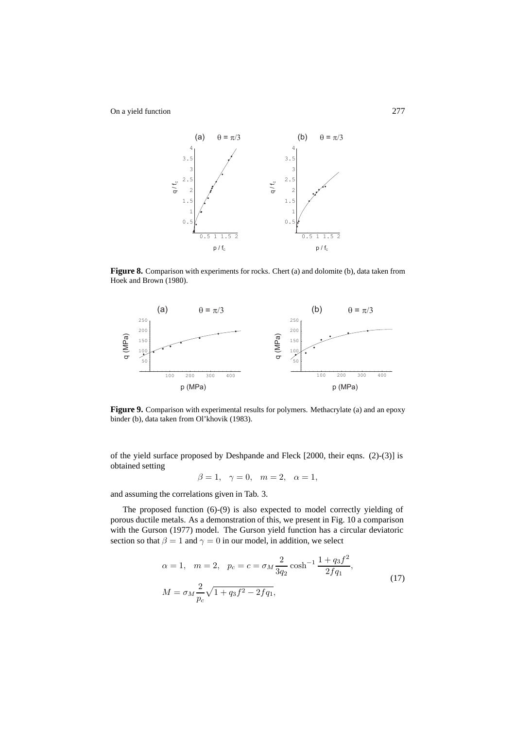

**Figure 8.** Comparison with experiments for rocks. Chert (a) and dolomite (b), data taken from Hoek and Brown (1980).



Figure 9. Comparison with experimental results for polymers. Methacrylate (a) and an epoxy binder (b), data taken from Ol'khovik (1983).

of the yield surface proposed by Deshpande and Fleck [2000, their eqns. (2)-(3)] is obtained setting

$$
\beta = 1, \ \gamma = 0, \ m = 2, \ \alpha = 1,
$$

and assuming the correlations given in Tab. 3.

The proposed function (6)-(9) is also expected to model correctly yielding of porous ductile metals. As a demonstration of this, we present in Fig. 10 a comparison with the Gurson (1977) model. The Gurson yield function has a circular deviatoric section so that  $\beta = 1$  and  $\gamma = 0$  in our model, in addition, we select

$$
\alpha = 1, \quad m = 2, \quad p_c = c = \sigma_M \frac{2}{3q_2} \cosh^{-1} \frac{1 + q_3 f^2}{2f q_1},
$$
  

$$
M = \sigma_M \frac{2}{p_c} \sqrt{1 + q_3 f^2 - 2f q_1},
$$
 (17)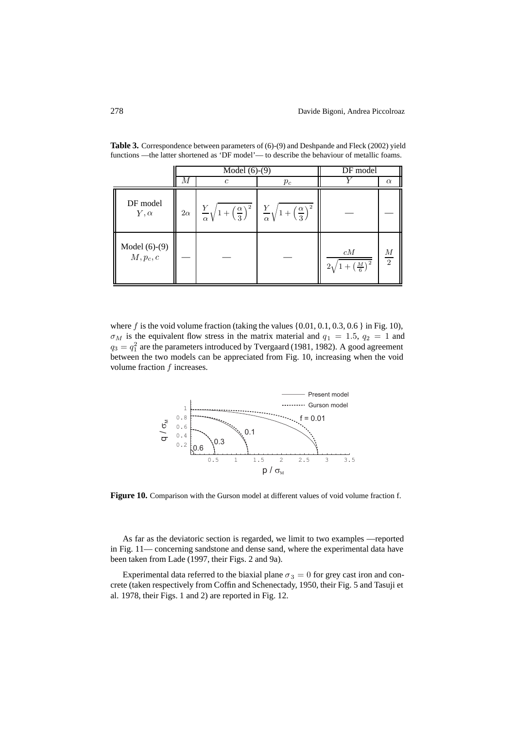|                                | $\overline{\text{Model}}$ (6)-(9) |                                                                                                                                                      |       | DF model                                             |                                    |
|--------------------------------|-----------------------------------|------------------------------------------------------------------------------------------------------------------------------------------------------|-------|------------------------------------------------------|------------------------------------|
|                                | М                                 | C                                                                                                                                                    | $p_c$ |                                                      | $\alpha$                           |
| DF model<br>$Y, \alpha$        |                                   | $2\alpha \left[ \frac{Y}{\alpha} \sqrt{1 + \left( \frac{\alpha}{3} \right)^2} \right] \frac{Y}{\alpha} \sqrt{1 + \left( \frac{\alpha}{3} \right)^2}$ |       |                                                      |                                    |
| Model $(6)-(9)$<br>$M, p_c, c$ |                                   |                                                                                                                                                      |       | cM<br>$\left(\frac{M}{6}\right)^2$<br>2 <sub>1</sub> | $\boldsymbol{M}$<br>$\overline{2}$ |

Table 3. Correspondence between parameters of (6)-(9) and Deshpande and Fleck (2002) yield functions —the latter shortened as 'DF model'— to describe the behaviour of metallic foams.

where  $f$  is the void volume fraction (taking the values  $\{0.01, 0.1, 0.3, 0.6\}$  in Fig. 10),  $\sigma_M$  is the equivalent flow stress in the matrix material and  $q_1 = 1.5$ ,  $q_2 = 1$  and  $q_3 = q_1^2$  are the parameters introduced by Tvergaard (1981, 1982). A good agreement<br>between the two models can be appreciated from Fig. 10, increasing when the void between the two models can be appreciated from Fig. 10, increasing when the void volume fraction  $f$  increases.



**Figure 10.** Comparison with the Gurson model at different values of void volume fraction f.

As far as the deviatoric section is regarded, we limit to two examples —reported in Fig. 11— concerning sandstone and dense sand, where the experimental data have been taken from Lade (1997, their Figs. 2 and 9a).

Experimental data referred to the biaxial plane  $\sigma_3 = 0$  for grey cast iron and concrete (taken respectively from Coffin and Schenectady, 1950, their Fig. 5 and Tasuji et al. 1978, their Figs. 1 and 2) are reported in Fig. 12.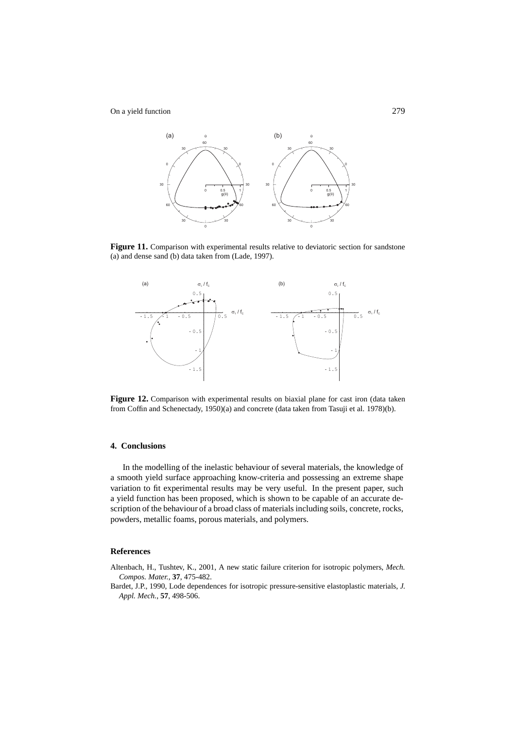

Figure 11. Comparison with experimental results relative to deviatoric section for sandstone (a) and dense sand (b) data taken from (Lade, 1997).



Figure 12. Comparison with experimental results on biaxial plane for cast iron (data taken from Coffin and Schenectady, 1950)(a) and concrete (data taken from Tasuji et al. 1978)(b).

# **4. Conclusions**

In the modelling of the inelastic behaviour of several materials, the knowledge of a smooth yield surface approaching know-criteria and possessing an extreme shape variation to fit experimental results may be very useful. In the present paper, such a yield function has been proposed, which is shown to be capable of an accurate description of the behaviour of a broad class of materials including soils, concrete, rocks, powders, metallic foams, porous materials, and polymers.

#### **References**

- Altenbach, H., Tushtev, K., 2001, A new static failure criterion for isotropic polymers, *Mech. Compos. Mater.*, **37**, 475-482.
- Bardet, J.P., 1990, Lode dependences for isotropic pressure-sensitive elastoplastic materials, *J. Appl. Mech.*, **57**, 498-506.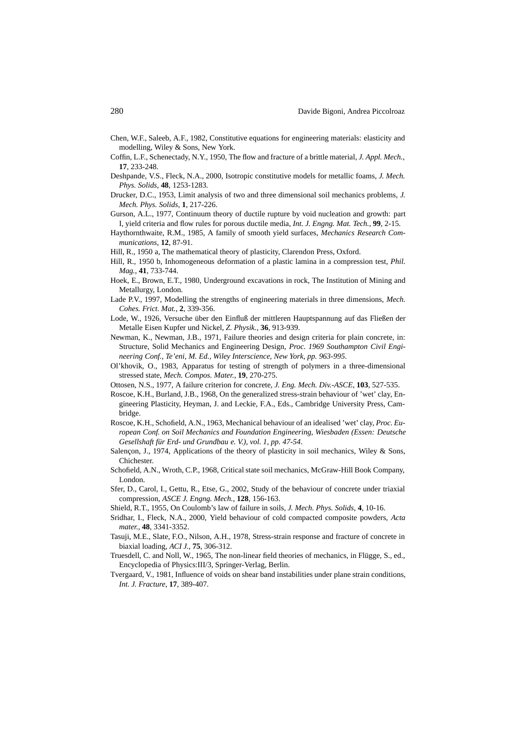- Chen, W.F., Saleeb, A.F., 1982, Constitutive equations for engineering materials: elasticity and modelling, Wiley & Sons, New York.
- Coffin, L.F., Schenectady, N.Y., 1950, The flow and fracture of a brittle material, *J. Appl. Mech.*, **17**, 233-248.
- Deshpande, V.S., Fleck, N.A., 2000, Isotropic constitutive models for metallic foams, *J. Mech. Phys. Solids*, **48**, 1253-1283.
- Drucker, D.C., 1953, Limit analysis of two and three dimensional soil mechanics problems, *J. Mech. Phys. Solids*, **1**, 217-226.
- Gurson, A.L., 1977, Continuum theory of ductile rupture by void nucleation and growth: part I, yield criteria and flow rules for porous ductile media, *Int. J. Engng. Mat. Tech.*, **99**, 2-15.
- Haythornthwaite, R.M., 1985, A family of smooth yield surfaces, *Mechanics Research Communications*, **12**, 87-91.
- Hill, R., 1950 a, The mathematical theory of plasticity, Clarendon Press, Oxford.
- Hill, R., 1950 b, Inhomogeneous deformation of a plastic lamina in a compression test, *Phil. Mag.*, **41**, 733-744.
- Hoek, E., Brown, E.T., 1980, Underground excavations in rock, The Institution of Mining and Metallurgy, London.
- Lade P.V., 1997, Modelling the strengths of engineering materials in three dimensions, *Mech. Cohes. Frict. Mat.*, **2**, 339-356.
- Lode, W., 1926, Versuche über den Einfluß der mittleren Hauptspannung auf das Fließen der Metalle Eisen Kupfer und Nickel, *Z. Physik.*, **36**, 913-939.
- Newman, K., Newman, J.B., 1971, Failure theories and design criteria for plain concrete, in: Structure, Solid Mechanics and Engineering Design, *Proc. 1969 Southampton Civil Engineering Conf., Te'eni, M. Ed., Wiley Interscience, New York, pp. 963-995*.
- Ol'khovik, O., 1983, Apparatus for testing of strength of polymers in a three-dimensional stressed state, *Mech. Compos. Mater.*, **19**, 270-275.
- Ottosen, N.S., 1977, A failure criterion for concrete, *J. Eng. Mech. Div.-ASCE*, **103**, 527-535.
- Roscoe, K.H., Burland, J.B., 1968, On the generalized stress-strain behaviour of 'wet' clay, Engineering Plasticity, Heyman, J. and Leckie, F.A., Eds., Cambridge University Press, Cambridge.
- Roscoe, K.H., Schofield, A.N., 1963, Mechanical behaviour of an idealised 'wet' clay, *Proc. European Conf. on Soil Mechanics and Foundation Engineering, Wiesbaden (Essen: Deutsche Gesellshaft für Erd- und Grundbau e. V.), vol. 1, pp. 47-54*.
- Salençon, J., 1974, Applications of the theory of plasticity in soil mechanics, Wiley & Sons, Chichester.
- Schofield, A.N., Wroth, C.P., 1968, Critical state soil mechanics, McGraw-Hill Book Company, London.
- Sfer, D., Carol, I., Gettu, R., Etse, G., 2002, Study of the behaviour of concrete under triaxial compression, *ASCE J. Engng. Mech.*, **128**, 156-163.
- Shield, R.T., 1955, On Coulomb's law of failure in soils, *J. Mech. Phys. Solids*, **4**, 10-16.
- Sridhar, I., Fleck, N.A., 2000, Yield behaviour of cold compacted composite powders, *Acta mater.*, **48**, 3341-3352.
- Tasuji, M.E., Slate, F.O., Nilson, A.H., 1978, Stress-strain response and fracture of concrete in biaxial loading, *ACI J.*, **75**, 306-312.
- Truesdell, C. and Noll, W., 1965, The non-linear field theories of mechanics, in Flügge, S., ed., Encyclopedia of Physics:III/3, Springer-Verlag, Berlin.
- Tvergaard, V., 1981, Influence of voids on shear band instabilities under plane strain conditions, *Int. J. Fracture*, **17**, 389-407.